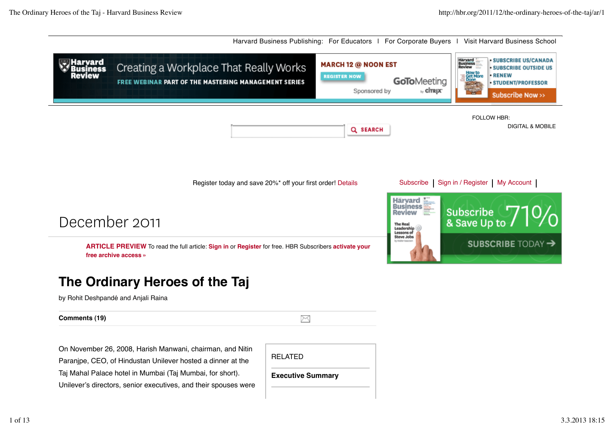

Taj Mahal Palace hotel in Mumbai (Taj Mumbai, for short). Unilever's directors, senior executives, and their spouses were

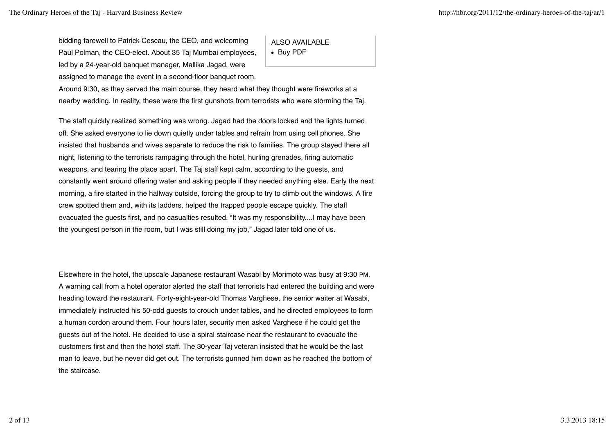bidding farewell to Patrick Cescau, the CEO, and welcoming Paul Polman, the CEO-elect. About 35 Taj Mumbai employees, led by a 24-year-old banquet manager, Mallika Jagad, were assigned to manage the event in a second-floor banquet room.

ALSO AVAILABLE • Buy PDF

Around 9:30, as they served the main course, they heard what they thought were fireworks at a nearby wedding. In reality, these were the first gunshots from terrorists who were storming the Taj.

The staff quickly realized something was wrong. Jagad had the doors locked and the lights turned off. She asked everyone to lie down quietly under tables and refrain from using cell phones. She insisted that husbands and wives separate to reduce the risk to families. The group stayed there all night, listening to the terrorists rampaging through the hotel, hurling grenades, firing automatic weapons, and tearing the place apart. The Taj staff kept calm, according to the guests, and constantly went around offering water and asking people if they needed anything else. Early the next morning, a fire started in the hallway outside, forcing the group to try to climb out the windows. A fire crew spotted them and, with its ladders, helped the trapped people escape quickly. The staff evacuated the guests first, and no casualties resulted. "It was my responsibility....I may have been the youngest person in the room, but I was still doing my job," Jagad later told one of us.

Elsewhere in the hotel, the upscale Japanese restaurant Wasabi by Morimoto was busy at 9:30 PM. A warning call from a hotel operator alerted the staff that terrorists had entered the building and were heading toward the restaurant. Forty-eight-year-old Thomas Varghese, the senior waiter at Wasabi, immediately instructed his 50-odd guests to crouch under tables, and he directed employees to form a human cordon around them. Four hours later, security men asked Varghese if he could get the guests out of the hotel. He decided to use a spiral staircase near the restaurant to evacuate the customers first and then the hotel staff. The 30-year Taj veteran insisted that he would be the last man to leave, but he never did get out. The terrorists gunned him down as he reached the bottom of the staircase.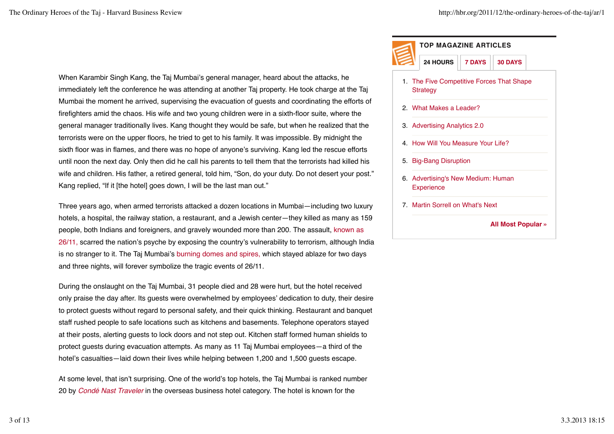When Karambir Singh Kang, the Taj Mumbai's general manager, heard about the attacks, he immediately left the conference he was attending at another Taj property. He took charge at the Taj Mumbai the moment he arrived, supervising the evacuation of guests and coordinating the efforts of firefighters amid the chaos. His wife and two young children were in a sixth-floor suite, where the general manager traditionally lives. Kang thought they would be safe, but when he realized that the terrorists were on the upper floors, he tried to get to his family. It was impossible. By midnight the sixth floor was in flames, and there was no hope of anyone's surviving. Kang led the rescue efforts until noon the next day. Only then did he call his parents to tell them that the terrorists had killed his wife and children. His father, a retired general, told him, "Son, do your duty. Do not desert your post." Kang replied, "If it [the hotel] goes down, I will be the last man out."

Three years ago, when armed terrorists attacked a dozen locations in Mumbai—including two luxury hotels, a hospital, the railway station, a restaurant, and a Jewish center—they killed as many as 159 people, both Indians and foreigners, and gravely wounded more than 200. The assault, known as 26/11, scarred the nation's psyche by exposing the country's vulnerability to terrorism, although India is no stranger to it. The Taj Mumbai's burning domes and spires, which stayed ablaze for two days and three nights, will forever symbolize the tragic events of 26/11.

During the onslaught on the Taj Mumbai, 31 people died and 28 were hurt, but the hotel received only praise the day after. Its guests were overwhelmed by employees' dedication to duty, their desire to protect guests without regard to personal safety, and their quick thinking. Restaurant and banquet staff rushed people to safe locations such as kitchens and basements. Telephone operators stayed at their posts, alerting guests to lock doors and not step out. Kitchen staff formed human shields to protect guests during evacuation attempts. As many as 11 Taj Mumbai employees—a third of the hotel's casualties—laid down their lives while helping between 1,200 and 1,500 guests escape.

At some level, that isn't surprising. One of the world's top hotels, the Taj Mumbai is ranked number 20 by *Condé Nast Traveler* in the overseas business hotel category. The hotel is known for the

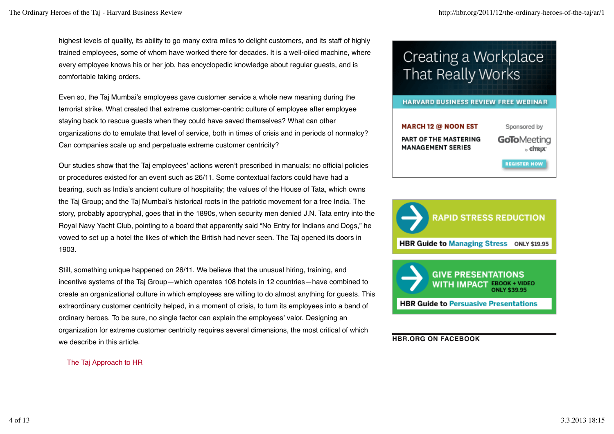highest levels of quality, its ability to go many extra miles to delight customers, and its staff of highly trained employees, some of whom have worked there for decades. It is a well-oiled machine, where every employee knows his or her job, has encyclopedic knowledge about regular guests, and is comfortable taking orders.

Even so, the Taj Mumbai's employees gave customer service a whole new meaning during the terrorist strike. What created that extreme customer-centric culture of employee after employee staying back to rescue guests when they could have saved themselves? What can other organizations do to emulate that level of service, both in times of crisis and in periods of normalcy? Can companies scale up and perpetuate extreme customer centricity?

Our studies show that the Taj employees' actions weren't prescribed in manuals; no official policies or procedures existed for an event such as 26/11. Some contextual factors could have had a bearing, such as India's ancient culture of hospitality; the values of the House of Tata, which owns the Taj Group; and the Taj Mumbai's historical roots in the patriotic movement for a free India. The story, probably apocryphal, goes that in the 1890s, when security men denied J.N. Tata entry into the Royal Navy Yacht Club, pointing to a board that apparently said "No Entry for Indians and Dogs," he vowed to set up a hotel the likes of which the British had never seen. The Taj opened its doors in 1903.

Still, something unique happened on 26/11. We believe that the unusual hiring, training, and incentive systems of the Taj Group—which operates 108 hotels in 12 countries—have combined to create an organizational culture in which employees are willing to do almost anything for guests. This extraordinary customer centricity helped, in a moment of crisis, to turn its employees into a band of ordinary heroes. To be sure, no single factor can explain the employees' valor. Designing an organization for extreme customer centricity requires several dimensions, the most critical of which we describe in this article.

The Taj Approach to HR

# Creating a Workplace That Really Works





**HBR Guide to Persuasive Presentations** 

**HBR.ORG ON FACEBOOK**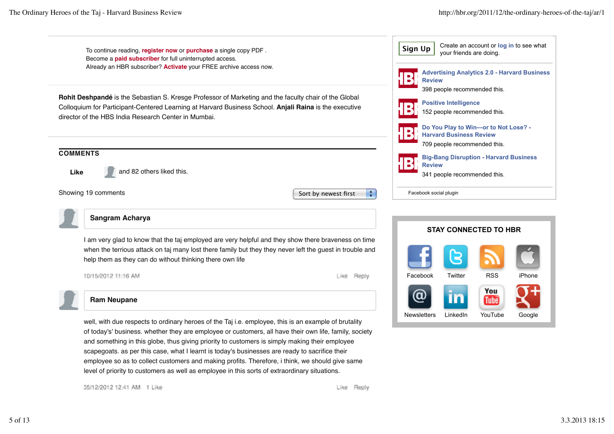

and something in this globe, thus giving priority to customers is simply making their employee scapegoats. as per this case, what I learnt is today's businesses are ready to sacrifice their employee so as to collect customers and making profits. Therefore, i think, we should give same level of priority to customers as well as employee in this sorts of extraordinary situations.

05/12/2012 12:41 AM 1 Like

Like Reply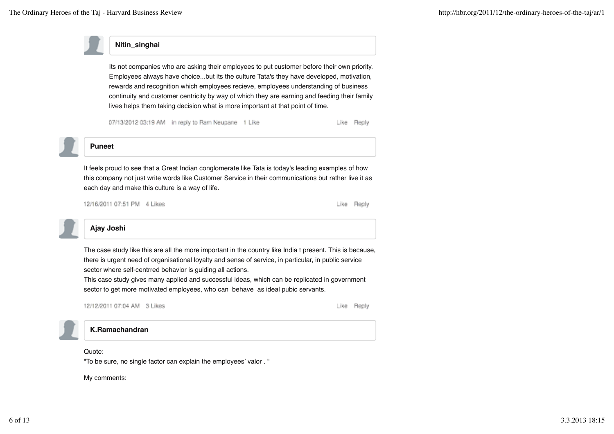

# **Nitin\_singhai**

Its not companies who are asking their employees to put customer before their own priority. Employees always have choice...but its the culture Tata's they have developed, motivation, rewards and recognition which employees recieve, employees understanding of business continuity and customer centricity by way of which they are earning and feeding their family lives helps them taking decision what is more important at that point of time.

07/13/2012 03:19 AM in reply to Ram Neupane 1 Like

Like Reply



# **Puneet**

It feels proud to see that a Great Indian conglomerate like Tata is today's leading examples of how this company not just write words like Customer Service in their communications but rather live it as each day and make this culture is a way of life.

12/16/2011 07:51 PM 4 Likes

Like Reply



# **Ajay Joshi**

The case study like this are all the more important in the country like India t present. This is because, there is urgent need of organisational loyalty and sense of service, in particular, in public service sector where self-centrred behavior is guiding all actions.

This case study gives many applied and successful ideas, which can be replicated in government sector to get more motivated employees, who can behave as ideal pubic servants.



Like Reply



**K.Ramachandran**

Quote:

"To be sure, no single factor can explain the employees' valor . "

My comments: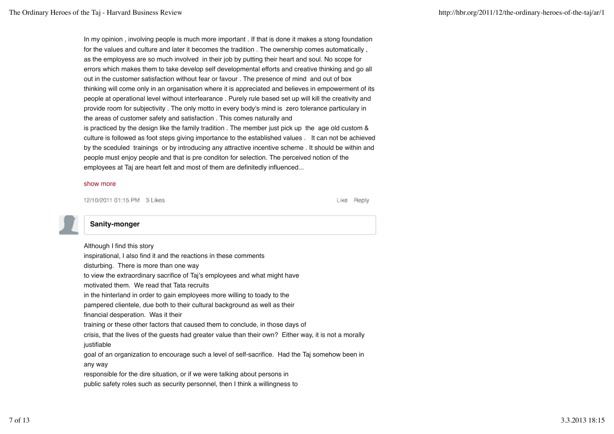In my opinion , involving people is much more important . If that is done it makes a stong foundation for the values and culture and later it becomes the tradition . The ownership comes automatically , as the employess are so much involved in their job by putting their heart and soul. No scope for errors which makes them to take develop self developmental efforts and creative thinking and go all out in the customer satisfaction without fear or favour . The presence of mind and out of box thinking will come only in an organisation where it is appreciated and believes in empowerment of its people at operational level without interfearance . Purely rule based set up will kill the creativity and provide room for subjectivity . The only motto in every body's mind is zero tolerance particulary in the areas of customer safety and satisfaction . This comes naturally and is practiced by the design like the family tradition . The member just pick up the age old custom & culture is followed as foot steps giving importance to the established values . It can not be achieved by the sceduled trainings or by introducing any attractive incentive scheme . It should be within and people must enjoy people and that is pre conditon for selection. The perceived notion of the employees at Taj are heart felt and most of them are definitedly influenced...

#### show more

12/10/2011 01:15 PM 3 Likes

Like Reply



# **Sanity-monger**

Although I find this story inspirational, I also find it and the reactions in these comments disturbing. There is more than one way to view the extraordinary sacrifice of Taj's employees and what might have motivated them. We read that Tata recruits in the hinterland in order to gain employees more willing to toady to the pampered clientele, due both to their cultural background as well as their financial desperation. Was it their training or these other factors that caused them to conclude, in those days of crisis, that the lives of the guests had greater value than their own? Either way, it is not a morally justifiable goal of an organization to encourage such a level of self-sacrifice. Had the Taj somehow been in any way responsible for the dire situation, or if we were talking about persons in public safety roles such as security personnel, then I think a willingness to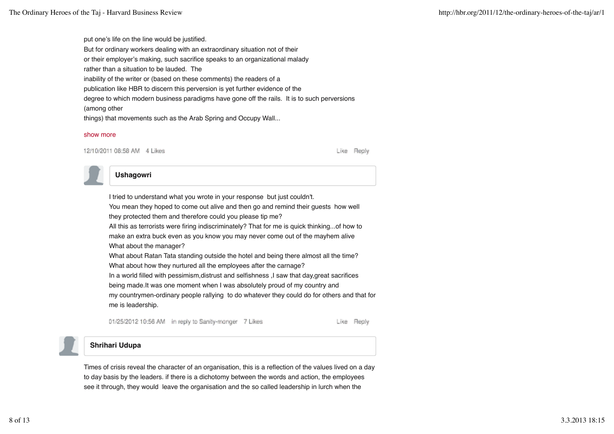put one's life on the line would be justified. But for ordinary workers dealing with an extraordinary situation not of their or their employer's making, such sacrifice speaks to an organizational malady rather than a situation to be lauded. The inability of the writer or (based on these comments) the readers of a publication like HBR to discern this perversion is yet further evidence of the degree to which modern business paradigms have gone off the rails. It is to such perversions (among other things) that movements such as the Arab Spring and Occupy Wall...

#### show more

12/10/2011 08:58 AM 4 Likes

Like Reply

## **Ushagowri**

I tried to understand what you wrote in your response but just couldn't. You mean they hoped to come out alive and then go and remind their guests how well they protected them and therefore could you please tip me? All this as terrorists were firing indiscriminately? That for me is quick thinking...of how to make an extra buck even as you know you may never come out of the mayhem alive What about the manager? What about Ratan Tata standing outside the hotel and being there almost all the time? What about how they nurtured all the employees after the carnage? In a world filled with pessimism, distrust and selfishness, I saw that day, great sacrifices being made.It was one moment when I was absolutely proud of my country and my countrymen-ordinary people rallying to do whatever they could do for others and that for me is leadership.

01/25/2012 10:56 AM in reply to Sanity-monger 7 Likes

Like Reply



### **Shrihari Udupa**

Times of crisis reveal the character of an organisation, this is a reflection of the values lived on a day to day basis by the leaders. if there is a dichotomy between the words and action, the employees see it through, they would leave the organisation and the so called leadership in lurch when the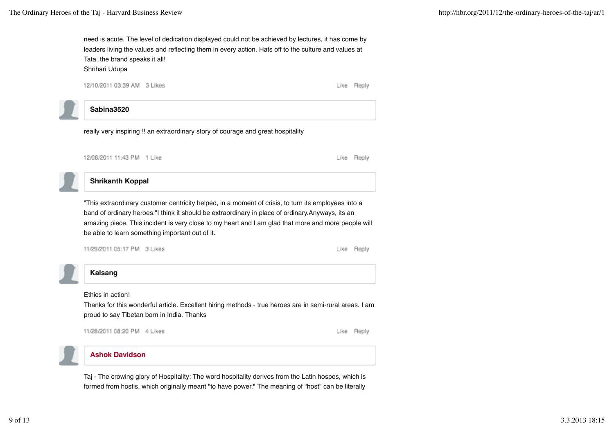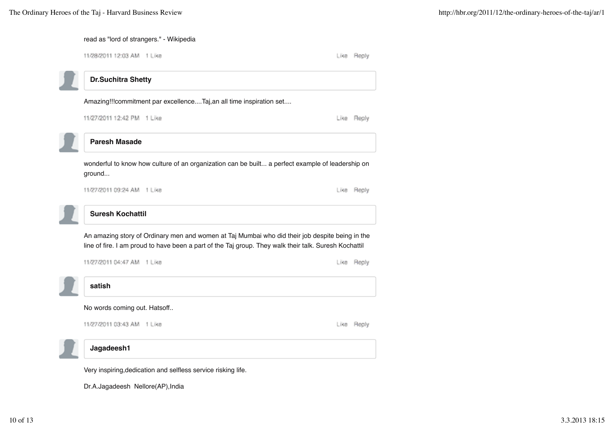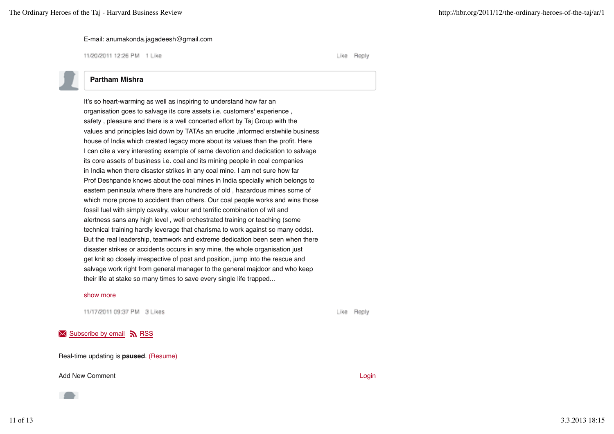#### E-mail: anumakonda.jagadeesh@gmail.com

11/20/2011 12:26 PM 1 Like

Like Reply

## **Partham Mishra**

It's so heart-warming as well as inspiring to understand how far an organisation goes to salvage its core assets i.e. customers' experience , safety , pleasure and there is a well concerted effort by Taj Group with the values and principles laid down by TATAs an erudite ,informed erstwhile business house of India which created legacy more about its values than the profit. Here I can cite a very interesting example of same devotion and dedication to salvage its core assets of business i.e. coal and its mining people in coal companies in India when there disaster strikes in any coal mine. I am not sure how far Prof Deshpande knows about the coal mines in India specially which belongs to eastern peninsula where there are hundreds of old , hazardous mines some of which more prone to accident than others. Our coal people works and wins those fossil fuel with simply cavalry, valour and terrific combination of wit and alertness sans any high level , well orchestrated training or teaching (some technical training hardly leverage that charisma to work against so many odds). But the real leadership, teamwork and extreme dedication been seen when there disaster strikes or accidents occurs in any mine, the whole organisation just get knit so closely irrespective of post and position, jump into the rescue and salvage work right from general manager to the general majdoor and who keep their life at stake so many times to save every single life trapped...

#### show more

11/17/2011 09:37 PM 3 Likes

Reply Like

## $\overline{\mathsf{N}}$  Subscribe by email  $\overline{\mathsf{N}}$  RSS

Real-time updating is **paused**. (Resume)

#### Add New Comment **Login Add New Comment Login**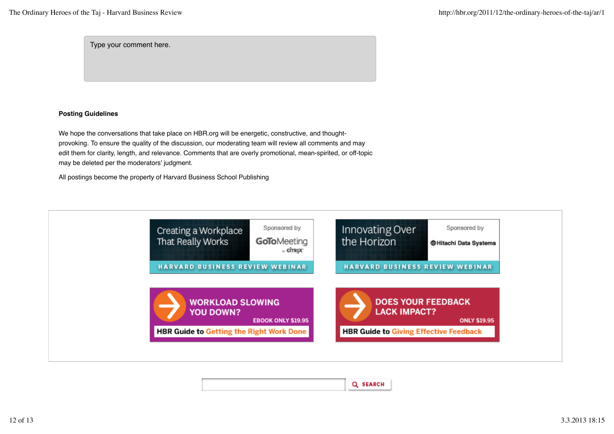Type your comment here.

### **Posting Guidelines**

We hope the conversations that take place on HBR.org will be energetic, constructive, and thoughtprovoking. To ensure the quality of the discussion, our moderating team will review all comments and may edit them for clarity, length, and relevance. Comments that are overly promotional, mean-spirited, or off-topic may be deleted per the moderators' judgment.

All postings become the property of Harvard Business School Publishing